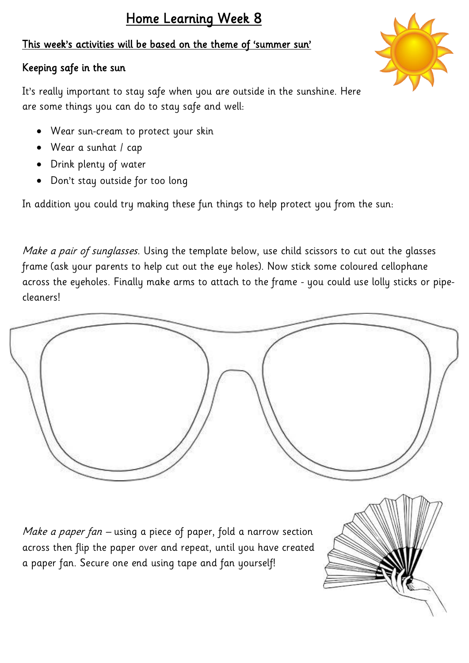# This week's activities will be based on the theme of 'summer sun'

## Keeping safe in the sun

It's really important to stay safe when you are outside in the sunshine. Here are some things you can do to stay safe and well:

- Wear sun-cream to protect your skin
- Wear a sunhat / cap
- Drink plenty of water
- Don't stay outside for too long

In addition you could try making these fun things to help protect you from the sun:

Make a pair of sunglasses. Using the template below, use child scissors to cut out the glasses frame (ask your parents to help cut out the eye holes). Now stick some coloured cellophane across the eyeholes. Finally make arms to attach to the frame - you could use lolly sticks or pipecleaners!



Make a paper fan – using a piece of paper, fold a narrow section across then flip the paper over and repeat, until you have created a paper fan. Secure one end using tape and fan yourself!



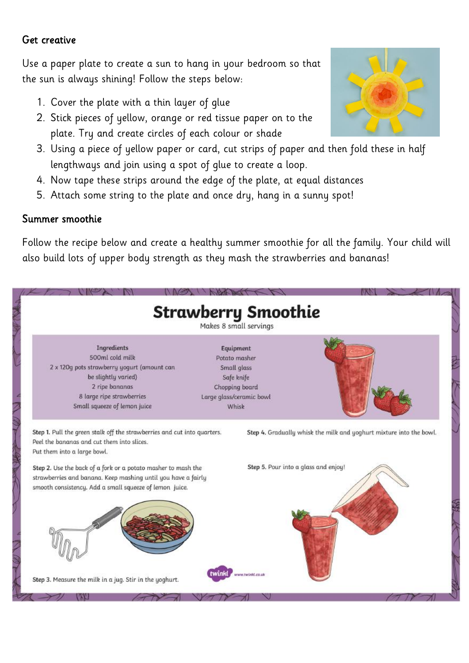#### Get creative

Use a paper plate to create a sun to hang in your bedroom so that the sun is always shining! Follow the steps below:

- 1. Cover the plate with a thin layer of glue
- 2. Stick pieces of yellow, orange or red tissue paper on to the plate. Try and create circles of each colour or shade
- 3. Using a piece of yellow paper or card, cut strips of paper and then fold these in half lengthways and join using a spot of glue to create a loop.
- 4. Now tape these strips around the edge of the plate, at equal distances
- 5. Attach some string to the plate and once dry, hang in a sunny spot!

### Summer smoothie

Follow the recipe below and create a healthy summer smoothie for all the family. Your child will also build lots of upper body strength as they mash the strawberries and bananas!

| 500ml cold milk                                                                                                                                               | Equipment<br>Potato masher           |  |
|---------------------------------------------------------------------------------------------------------------------------------------------------------------|--------------------------------------|--|
| 2 x 120g pots strawberry yogurt (amount can                                                                                                                   | Small glass                          |  |
| be slightly varied)                                                                                                                                           | Safe knife                           |  |
| 2 ripe bananas                                                                                                                                                | Chopping board                       |  |
| 8 large ripe strawberries                                                                                                                                     | Large glass/ceramic bowl             |  |
| Small squeeze of lemon juice                                                                                                                                  | Whisk                                |  |
| Put them into a large bowl.<br>Step 2. Use the back of a fork or a potato masher to mash the<br>strawberries and banana. Keep mashing until you have a fairly | Step 5. Pour into a glass and enjoy! |  |
| smooth consistency. Add a small squeeze of lemon juice.                                                                                                       |                                      |  |
|                                                                                                                                                               |                                      |  |